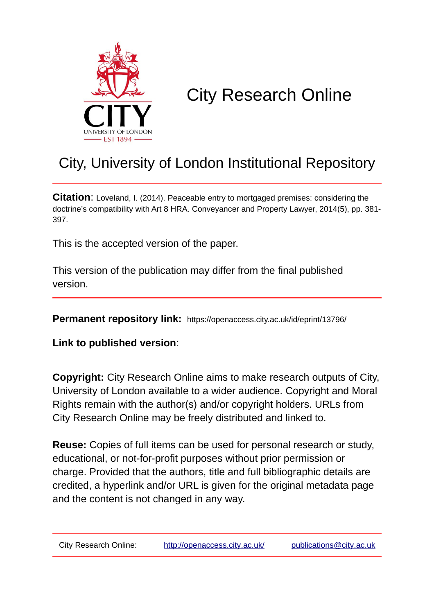

# City Research Online

## City, University of London Institutional Repository

**Citation**: Loveland, I. (2014). Peaceable entry to mortgaged premises: considering the doctrine's compatibility with Art 8 HRA. Conveyancer and Property Lawyer, 2014(5), pp. 381- 397.

This is the accepted version of the paper.

This version of the publication may differ from the final published version.

**Permanent repository link:** https://openaccess.city.ac.uk/id/eprint/13796/

**Link to published version**:

**Copyright:** City Research Online aims to make research outputs of City, University of London available to a wider audience. Copyright and Moral Rights remain with the author(s) and/or copyright holders. URLs from City Research Online may be freely distributed and linked to.

**Reuse:** Copies of full items can be used for personal research or study, educational, or not-for-profit purposes without prior permission or charge. Provided that the authors, title and full bibliographic details are credited, a hyperlink and/or URL is given for the original metadata page and the content is not changed in any way.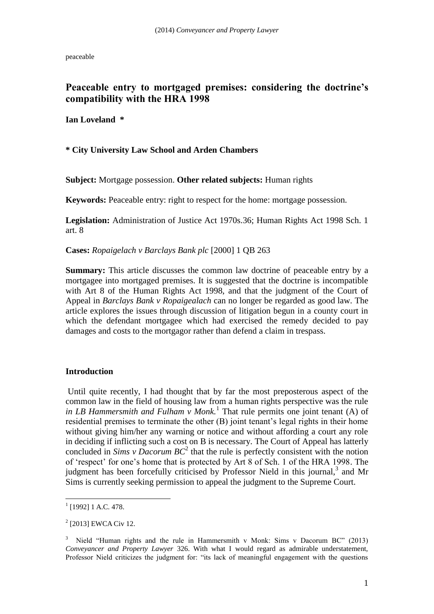peaceable

#### **Peaceable entry to mortgaged premises: considering the doctrine's compatibility with the HRA 1998**

**Ian Loveland \***

**\* City University Law School and Arden Chambers**

**Subject:** Mortgage possession. **Other related subjects:** Human rights

**Keywords:** Peaceable entry: right to respect for the home: mortgage possession.

**Legislation:** Administration of Justice Act 1970s.36; Human Rights Act 1998 Sch. 1 art. 8

**Cases:** *Ropaigelach v Barclays Bank plc* [2000] 1 QB 263

**Summary:** This article discusses the common law doctrine of peaceable entry by a mortgagee into mortgaged premises. It is suggested that the doctrine is incompatible with Art 8 of the Human Rights Act 1998, and that the judgment of the Court of Appeal in *Barclays Bank v Ropaigealach* can no longer be regarded as good law. The article explores the issues through discussion of litigation begun in a county court in which the defendant mortgagee which had exercised the remedy decided to pay damages and costs to the mortgagor rather than defend a claim in trespass.

#### **Introduction**

Until quite recently, I had thought that by far the most preposterous aspect of the common law in the field of housing law from a human rights perspective was the rule in LB Hammersmith and Fulham  $\check{v}$  Monk.<sup>1</sup> That rule permits one joint tenant (A) of residential premises to terminate the other (B) joint tenant's legal rights in their home without giving him/her any warning or notice and without affording a court any role in deciding if inflicting such a cost on B is necessary. The Court of Appeal has latterly concluded in *Sims v Dacorum BC*<sup>2</sup> that the rule is perfectly consistent with the notion of 'respect' for one's home that is protected by Art 8 of Sch. 1 of the HRA 1998. The judgment has been forcefully criticised by Professor Nield in this journal,<sup>3</sup> and Mr Sims is currently seeking permission to appeal the judgment to the Supreme Court.

<sup>&</sup>lt;sup>1</sup> [1992] 1 A.C. 478.

<sup>&</sup>lt;sup>2</sup> [2013] EWCA Civ 12.

<sup>&</sup>lt;sup>3</sup> Nield "Human rights and the rule in Hammersmith v Monk: Sims v Dacorum BC" (2013) *Conveyancer and Property Lawyer* 326. With what I would regard as admirable understatement, Professor Nield criticizes the judgment for: "its lack of meaningful engagement with the questions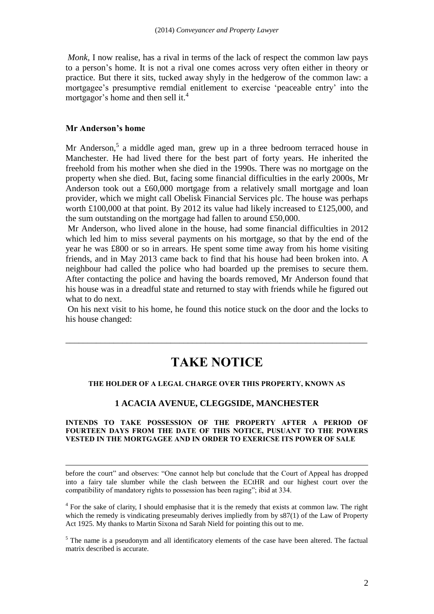*Monk*, I now realise, has a rival in terms of the lack of respect the common law pays to a person's home. It is not a rival one comes across very often either in theory or practice. But there it sits, tucked away shyly in the hedgerow of the common law: a mortgagee's presumptive remdial enitlement to exercise 'peaceable entry' into the mortgagor's home and then sell it. 4

#### **Mr Anderson's home**

1

Mr Anderson,<sup>5</sup> a middle aged man, grew up in a three bedroom terraced house in Manchester. He had lived there for the best part of forty years. He inherited the freehold from his mother when she died in the 1990s. There was no mortgage on the property when she died. But, facing some financial difficulties in the early 2000s, Mr Anderson took out a £60,000 mortgage from a relatively small mortgage and loan provider, which we might call Obelisk Financial Services plc. The house was perhaps worth £100,000 at that point. By 2012 its value had likely increased to £125,000, and the sum outstanding on the mortgage had fallen to around £50,000.

Mr Anderson, who lived alone in the house, had some financial difficulties in 2012 which led him to miss several payments on his mortgage, so that by the end of the year he was £800 or so in arrears. He spent some time away from his home visiting friends, and in May 2013 came back to find that his house had been broken into. A neighbour had called the police who had boarded up the premises to secure them. After contacting the police and having the boards removed, Mr Anderson found that his house was in a dreadful state and returned to stay with friends while he figured out what to do next.

On his next visit to his home, he found this notice stuck on the door and the locks to his house changed:

### **TAKE NOTICE**

\_\_\_\_\_\_\_\_\_\_\_\_\_\_\_\_\_\_\_\_\_\_\_\_\_\_\_\_\_\_\_\_\_\_\_\_\_\_\_\_\_\_\_\_\_\_\_\_\_\_\_\_\_\_\_\_\_\_\_\_\_\_\_\_\_\_\_\_\_

#### **THE HOLDER OF A LEGAL CHARGE OVER THIS PROPERTY, KNOWN AS**

#### **1 ACACIA AVENUE, CLEGGSIDE, MANCHESTER**

#### **INTENDS TO TAKE POSSESSION OF THE PROPERTY AFTER A PERIOD OF FOURTEEN DAYS FROM THE DATE OF THIS NOTICE, PUSUANT TO THE POWERS VESTED IN THE MORTGAGEE AND IN ORDER TO EXERICSE ITS POWER OF SALE**

before the court" and observes: "One cannot help but conclude that the Court of Appeal has dropped into a fairy tale slumber while the clash between the ECtHR and our highest court over the compatibility of mandatory rights to possession has been raging"; ibid at 334.

<sup>4</sup> For the sake of clarity, I should emphasise that it is the remedy that exists at common law. The right which the remedy is vindicating preseumably derives impliedly from by  $\frac{87(1)}{100}$  of the Law of Property Act 1925. My thanks to Martin Sixona nd Sarah Nield for pointing this out to me.

<sup>5</sup> The name is a pseudonym and all identificatory elements of the case have been altered. The factual matrix described is accurate.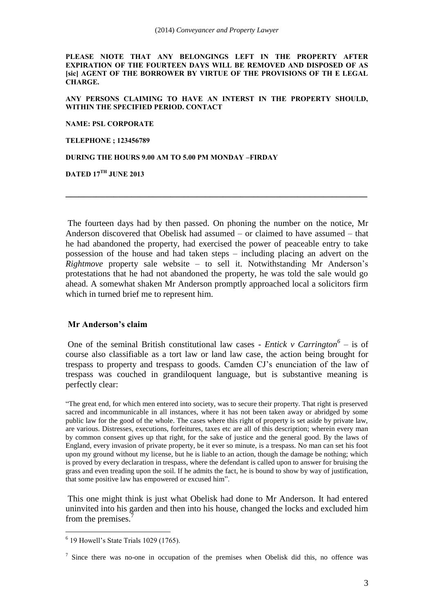**PLEASE NIOTE THAT ANY BELONGINGS LEFT IN THE PROPERTY AFTER EXPIRATION OF THE FOURTEEN DAYS WILL BE REMOVED AND DISPOSED OF AS [sic] AGENT OF THE BORROWER BY VIRTUE OF THE PROVISIONS OF TH E LEGAL CHARGE.**

**ANY PERSONS CLAIMING TO HAVE AN INTERST IN THE PROPERTY SHOULD, WITHIN THE SPECIFIED PERIOD. CONTACT**

**NAME: PSL CORPORATE**

**TELEPHONE ; 123456789**

**DURING THE HOURS 9.00 AM TO 5.00 PM MONDAY –FIRDAY**

**DATED 17TH JUNE 2013**

The fourteen days had by then passed. On phoning the number on the notice, Mr Anderson discovered that Obelisk had assumed – or claimed to have assumed – that he had abandoned the property, had exercised the power of peaceable entry to take possession of the house and had taken steps – including placing an advert on the *Rightmove* property sale website – to sell it. Notwithstanding Mr Anderson's protestations that he had not abandoned the property, he was told the sale would go ahead. A somewhat shaken Mr Anderson promptly approached local a solicitors firm which in turned brief me to represent him.

**\_\_\_\_\_\_\_\_\_\_\_\_\_\_\_\_\_\_\_\_\_\_\_\_\_\_\_\_\_\_\_\_\_\_\_\_\_\_\_\_\_\_\_\_\_\_\_\_\_\_\_\_\_\_\_\_\_\_\_\_\_\_\_\_\_\_\_\_\_**

#### **Mr Anderson's claim**

One of the seminal British constitutional law cases - *Entick v Carrington*<sup>6</sup> – is of course also classifiable as a tort law or land law case, the action being brought for trespass to property and trespass to goods. Camden CJ's enunciation of the law of trespass was couched in grandiloquent language, but is substantive meaning is perfectly clear:

"The great end, for which men entered into society, was to secure their property. That right is preserved sacred and incommunicable in all instances, where it has not been taken away or abridged by some public law for the good of the whole. The cases where this right of property is set aside by private law, are various. Distresses, executions, forfeitures, taxes etc are all of this description; wherein every man by common consent gives up that right, for the sake of justice and the general good. By the laws of England, every invasion of private property, be it ever so minute, is a trespass. No man can set his foot upon my ground without my license, but he is liable to an action, though the damage be nothing; which is proved by every declaration in trespass, where the defendant is called upon to answer for bruising the grass and even treading upon the soil. If he admits the fact, he is bound to show by way of justification, that some positive law has empowered or excused him".

This one might think is just what Obelisk had done to Mr Anderson. It had entered uninvited into his garden and then into his house, changed the locks and excluded him from the premises.

<u>.</u>

<sup>6</sup> 19 Howell's State Trials 1029 (1765).

<sup>&</sup>lt;sup>7</sup> Since there was no-one in occupation of the premises when Obelisk did this, no offence was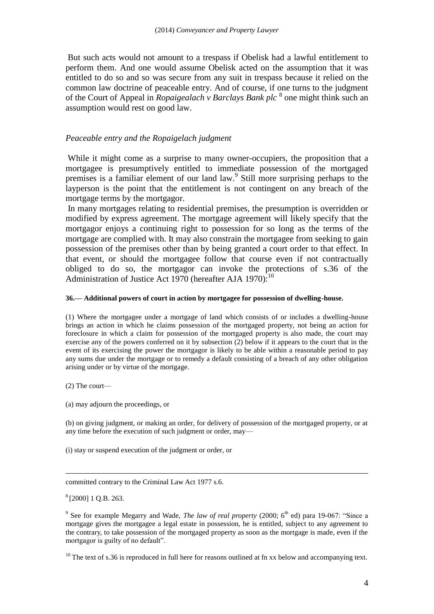But such acts would not amount to a trespass if Obelisk had a lawful entitlement to perform them. And one would assume Obelisk acted on the assumption that it was entitled to do so and so was secure from any suit in trespass because it relied on the common law doctrine of peaceable entry. And of course, if one turns to the judgment of the Court of Appeal in *Ropaigealach v Barclays Bank plc*<sup>8</sup> one might think such an assumption would rest on good law.

#### *Peaceable entry and the Ropaigelach judgment*

While it might come as a surprise to many owner-occupiers, the proposition that a mortgagee is presumptively entitled to immediate possession of the mortgaged premises is a familiar element of our land law.<sup>9</sup> Still more surprising perhaps to the layperson is the point that the entitlement is not contingent on any breach of the mortgage terms by the mortgagor.

In many mortgages relating to residential premises, the presumption is overridden or modified by express agreement. The mortgage agreement will likely specify that the mortgagor enjoys a continuing right to possession for so long as the terms of the mortgage are complied with. It may also constrain the mortgagee from seeking to gain possession of the premises other than by being granted a court order to that effect. In that event, or should the mortgagee follow that course even if not contractually obliged to do so, the mortgagor can invoke the protections of s.36 of the Administration of Justice Act 1970 (hereafter AJA 1970).<sup>10</sup>

#### **36.— Additional powers of court in action by mortgagee for possession of dwelling-house.**

(1) Where the mortgagee under a mortgage of land which consists of or includes a dwelling-house brings an action in which he claims possession of the mortgaged property, not being an action for foreclosure in which a claim for possession of the mortgaged property is also made, the court may exercise any of the powers conferred on it by subsection (2) below if it appears to the court that in the event of its exercising the power the mortgagor is likely to be able within a reasonable period to pay any sums due under the mortgage or to remedy a default consisting of a breach of any other obligation arising under or by virtue of the mortgage.

(2) The court—

(a) may adjourn the proceedings, or

(b) on giving judgment, or making an order, for delivery of possession of the mortgaged property, or at any time before the execution of such judgment or order, may—

(i) stay or suspend execution of the judgment or order, or

committed contrary to the Criminal Law Act 1977 s.6.

8 [2000] 1 Q.B. 263.

1

<sup>10</sup> The text of s.36 is reproduced in full here for reasons outlined at fn xx below and accompanying text.

<sup>&</sup>lt;sup>9</sup> See for example Megarry and Wade, *The law of real property* (2000;  $6<sup>th</sup>$  ed) para 19-067: "Since a mortgage gives the mortgagee a legal estate in possession, he is entitled, subject to any agreement to the contrary, to take possession of the mortgaged property as soon as the mortgage is made, even if the mortgagor is guilty of no default".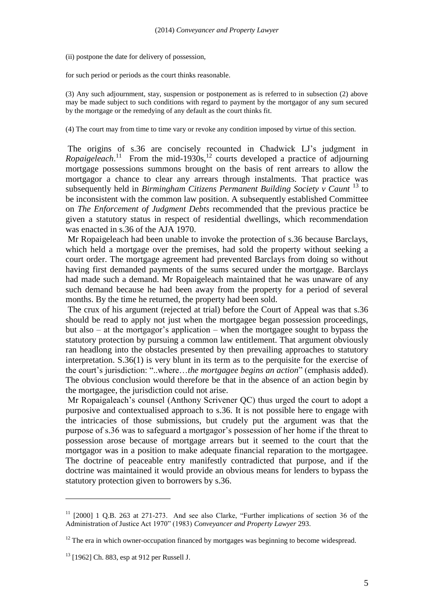(ii) postpone the date for delivery of possession,

for such period or periods as the court thinks reasonable.

(3) Any such adjournment, stay, suspension or postponement as is referred to in subsection (2) above may be made subject to such conditions with regard to payment by the mortgagor of any sum secured by the mortgage or the remedying of any default as the court thinks fit.

(4) The court may from time to time vary or revoke any condition imposed by virtue of this section.

The origins of s.36 are concisely recounted in Chadwick LJ's judgment in  $Ropaigeleach.<sup>11</sup>$  From the mid-1930s,<sup>12</sup> courts developed a practice of adjourning mortgage possessions summons brought on the basis of rent arrears to allow the mortgagor a chance to clear any arrears through instalments. That practice was subsequently held in *Birmingham Citizens Permanent Building Society v Caunt* <sup>13</sup> to be inconsistent with the common law position. A subsequently established Committee on *The Enforcement of Judgment Debts* recommended that the previous practice be given a statutory status in respect of residential dwellings, which recommendation was enacted in s.36 of the AJA 1970.

Mr Ropaigeleach had been unable to invoke the protection of s.36 because Barclays, which held a mortgage over the premises, had sold the property without seeking a court order. The mortgage agreement had prevented Barclays from doing so without having first demanded payments of the sums secured under the mortgage. Barclays had made such a demand. Mr Ropaigeleach maintained that he was unaware of any such demand because he had been away from the property for a period of several months. By the time he returned, the property had been sold.

The crux of his argument (rejected at trial) before the Court of Appeal was that s.36 should be read to apply not just when the mortgagee began possession proceedings, but also – at the mortgagor's application – when the mortgagee sought to bypass the statutory protection by pursuing a common law entitlement. That argument obviously ran headlong into the obstacles presented by then prevailing approaches to statutory interpretation. S.36(1) is very blunt in its term as to the perquisite for the exercise of the court's jurisdiction: "..where…*the mortgagee begins an action*" (emphasis added). The obvious conclusion would therefore be that in the absence of an action begin by the mortgagee, the jurisdiction could not arise.

Mr Ropaigaleach's counsel (Anthony Scrivener QC) thus urged the court to adopt a purposive and contextualised approach to s.36. It is not possible here to engage with the intricacies of those submissions, but crudely put the argument was that the purpose of s.36 was to safeguard a mortgagor's possession of her home if the threat to possession arose because of mortgage arrears but it seemed to the court that the mortgagor was in a position to make adequate financial reparation to the mortgagee. The doctrine of peaceable entry manifestly contradicted that purpose, and if the doctrine was maintained it would provide an obvious means for lenders to bypass the statutory protection given to borrowers by s.36.

 $11$  [2000] 1 Q.B. 263 at 271-273. And see also Clarke, "Further implications of section 36 of the Administration of Justice Act 1970" (1983) *Conveyancer and Property Lawyer* 293.

 $12$  The era in which owner-occupation financed by mortgages was beginning to become widespread.

 $13$  [1962] Ch. 883, esp at 912 per Russell J.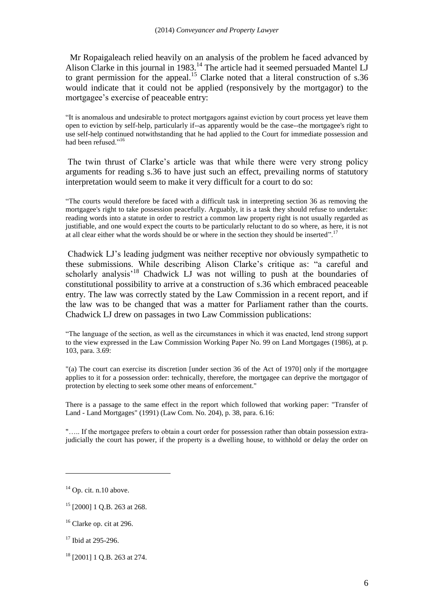Mr Ropaigaleach relied heavily on an analysis of the problem he faced advanced by Alison Clarke in this journal in 1983.<sup>14</sup> The article had it seemed persuaded Mantel LJ to grant permission for the appeal.<sup>15</sup> Clarke noted that a literal construction of  $s.36$ would indicate that it could not be applied (responsively by the mortgagor) to the mortgagee's exercise of peaceable entry:

"It is anomalous and undesirable to protect mortgagors against eviction by court process yet leave them open to eviction by self-help, particularly if--as apparently would be the case--the mortgagee's right to use self-help continued notwithstanding that he had applied to the Court for immediate possession and had been refused."<sup>16</sup>

The twin thrust of Clarke's article was that while there were very strong policy arguments for reading s.36 to have just such an effect, prevailing norms of statutory interpretation would seem to make it very difficult for a court to do so:

"The courts would therefore be faced with a difficult task in interpreting section 36 as removing the mortgagee's right to take possession peacefully. Arguably, it is a task they should refuse to undertake: reading words into a statute in order to restrict a common law property right is not usually regarded as justifiable, and one would expect the courts to be particularly reluctant to do so where, as here, it is not at all clear either what the words should be or where in the section they should be inserted".<sup>17</sup>

Chadwick LJ's leading judgment was neither receptive nor obviously sympathetic to these submissions. While describing Alison Clarke's critique as: "a careful and scholarly analysis<sup>18</sup> Chadwick LJ was not willing to push at the boundaries of constitutional possibility to arrive at a construction of s.36 which embraced peaceable entry. The law was correctly stated by the Law Commission in a recent report, and if the law was to be changed that was a matter for Parliament rather than the courts. Chadwick LJ drew on passages in two Law Commission publications:

"The language of the section, as well as the circumstances in which it was enacted, lend strong support to the view expressed in the Law Commission Working Paper No. 99 on Land Mortgages (1986), at p. 103, para. 3.69:

"(a) The court can exercise its discretion [under section 36 of the Act of 1970] only if the mortgagee applies to it for a possession order: technically, therefore, the mortgagee can deprive the mortgagor of protection by electing to seek some other means of enforcement."

There is a passage to the same effect in the report which followed that working paper: "Transfer of Land - Land Mortgages" (1991) (Law Com. No. 204), p. 38, para. 6.16:

"….. If the mortgagee prefers to obtain a court order for possession rather than obtain possession extrajudicially the court has power, if the property is a dwelling house, to withhold or delay the order on

 $14$  Op. cit. n.10 above.

<sup>&</sup>lt;sup>15</sup> [2000] 1 Q.B. 263 at 268.

 $16$  Clarke op. cit at 296.

<sup>&</sup>lt;sup>17</sup> Ibid at 295-296

<sup>18</sup> [2001] 1 Q.B. 263 at 274.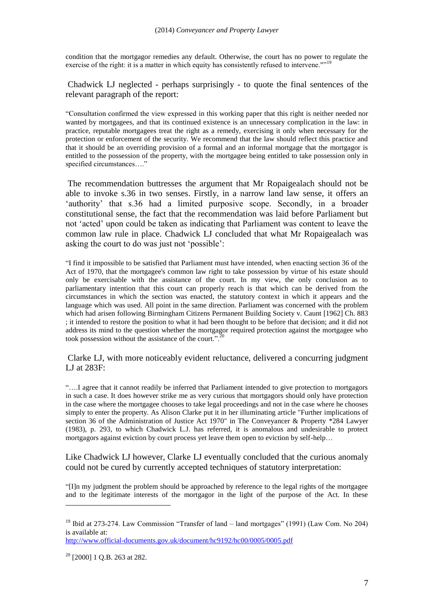condition that the mortgagor remedies any default. Otherwise, the court has no power to regulate the exercise of the right: it is a matter in which equity has consistently refused to intervene.""<sup>19</sup>

Chadwick LJ neglected - perhaps surprisingly - to quote the final sentences of the relevant paragraph of the report:

"Consultation confirmed the view expressed in this working paper that this right is neither needed nor wanted by mortgagees, and that its continued existence is an unnecessary complication in the law: in practice, reputable mortgagees treat the right as a remedy, exercising it only when necessary for the protection or enforcement of the security. We recommend that the law should reflect this practice and that it should be an overriding provision of a formal and an informal mortgage that the mortgagor is entitled to the possession of the property, with the mortgagee being entitled to take possession only in specified circumstances…."

The recommendation buttresses the argument that Mr Ropaigealach should not be able to invoke s.36 in two senses. Firstly, in a narrow land law sense, it offers an 'authority' that s.36 had a limited purposive scope. Secondly, in a broader constitutional sense, the fact that the recommendation was laid before Parliament but not 'acted' upon could be taken as indicating that Parliament was content to leave the common law rule in place. Chadwick LJ concluded that what Mr Ropaigealach was asking the court to do was just not 'possible':

"I find it impossible to be satisfied that Parliament must have intended, when enacting section 36 of the Act of 1970, that the mortgagee's common law right to take possession by virtue of his estate should only be exercisable with the assistance of the court. In my view, the only conclusion as to parliamentary intention that this court can properly reach is that which can be derived from the circumstances in which the section was enacted, the statutory context in which it appears and the language which was used. All point in the same direction. Parliament was concerned with the problem which had arisen following Birmingham Citizens Permanent Building Society v. Caunt [1962] Ch. 883 ; it intended to restore the position to what it had been thought to be before that decision; and it did not address its mind to the question whether the mortgagor required protection against the mortgagee who took possession without the assistance of the court.".<sup>20</sup>

Clarke LJ, with more noticeably evident reluctance, delivered a concurring judgment LJ at 283F:

"….I agree that it cannot readily be inferred that Parliament intended to give protection to mortgagors in such a case. It does however strike me as very curious that mortgagors should only have protection in the case where the mortgagee chooses to take legal proceedings and not in the case where he chooses simply to enter the property. As Alison Clarke put it in her illuminating article "Further implications of section 36 of the Administration of Justice Act 1970" in The Conveyancer & Property \*284 Lawyer (1983), p. 293, to which Chadwick L.J. has referred, it is anomalous and undesirable to protect mortgagors against eviction by court process yet leave them open to eviction by self-help…

Like Chadwick LJ however, Clarke LJ eventually concluded that the curious anomaly could not be cured by currently accepted techniques of statutory interpretation:

"[I]n my judgment the problem should be approached by reference to the legal rights of the mortgagee and to the legitimate interests of the mortgagor in the light of the purpose of the Act. In these

<sup>&</sup>lt;sup>19</sup> Ibid at 273-274. Law Commission "Transfer of land – land mortgages" (1991) (Law Com. No 204) is available at:

<http://www.official-documents.gov.uk/document/hc9192/hc00/0005/0005.pdf>

 $20$  [2000] 1 O.B. 263 at 282.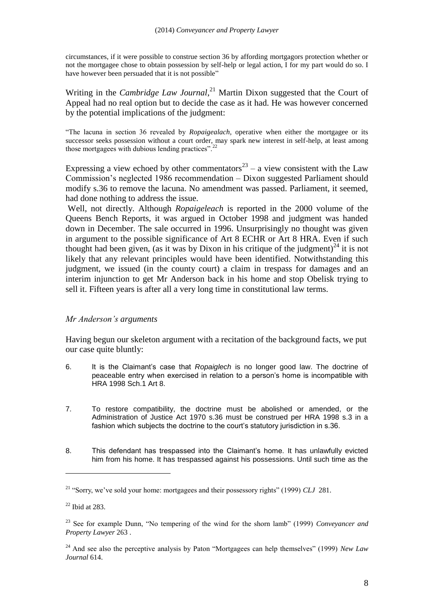circumstances, if it were possible to construe section 36 by affording mortgagors protection whether or not the mortgagee chose to obtain possession by self-help or legal action, I for my part would do so. I have however been persuaded that it is not possible"

Writing in the *Cambridge Law Journal*, <sup>21</sup> Martin Dixon suggested that the Court of Appeal had no real option but to decide the case as it had. He was however concerned by the potential implications of the judgment:

"The lacuna in section 36 revealed by *Ropaigealach,* operative when either the mortgagee or its successor seeks possession without a court order, may spark new interest in self-help, at least among those mortgagees with dubious lending practices".<sup>22</sup>

Expressing a view echoed by other commentators<sup>23</sup> – a view consistent with the Law Commission's neglected 1986 recommendation – Dixon suggested Parliament should modify s.36 to remove the lacuna. No amendment was passed. Parliament, it seemed, had done nothing to address the issue.

Well, not directly. Although *Ropaigeleach* is reported in the 2000 volume of the Queens Bench Reports, it was argued in October 1998 and judgment was handed down in December. The sale occurred in 1996. Unsurprisingly no thought was given in argument to the possible significance of Art 8 ECHR or Art 8 HRA. Even if such thought had been given, (as it was by Dixon in his critique of the judgment)<sup>24</sup> it is not likely that any relevant principles would have been identified. Notwithstanding this judgment, we issued (in the county court) a claim in trespass for damages and an interim injunction to get Mr Anderson back in his home and stop Obelisk trying to sell it. Fifteen years is after all a very long time in constitutional law terms.

#### *Mr Anderson's arguments*

Having begun our skeleton argument with a recitation of the background facts, we put our case quite bluntly:

- 6. It is the Claimant's case that *Ropaiglech* is no longer good law. The doctrine of peaceable entry when exercised in relation to a person's home is incompatible with HRA 1998 Sch.1 Art 8.
- 7. To restore compatibility, the doctrine must be abolished or amended, or the Administration of Justice Act 1970 s.36 must be construed per HRA 1998 s.3 in a fashion which subjects the doctrine to the court's statutory jurisdiction in s.36.
- 8. This defendant has trespassed into the Claimant's home. It has unlawfully evicted him from his home. It has trespassed against his possessions. Until such time as the

<sup>21</sup> "Sorry, we've sold your home: mortgagees and their possessory rights" (1999) *CLJ* 281.

 $22$  Ibid at 283.

<sup>23</sup> See for example Dunn, "No tempering of the wind for the shorn lamb" (1999) *Conveyancer and Property Lawyer* 263 .

<sup>24</sup> And see also the perceptive analysis by Paton "Mortgagees can help themselves" (1999) *New Law Journal* 614.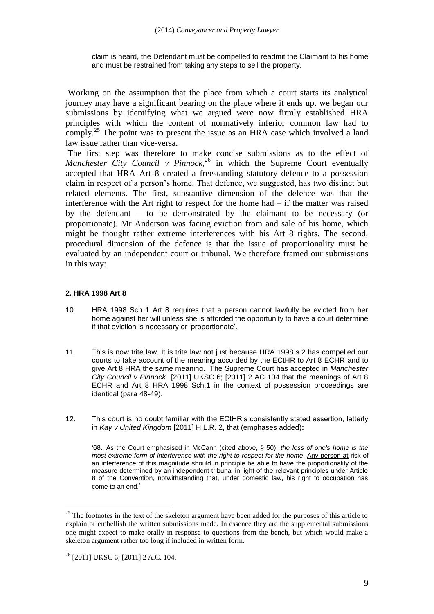claim is heard, the Defendant must be compelled to readmit the Claimant to his home and must be restrained from taking any steps to sell the property.

Working on the assumption that the place from which a court starts its analytical journey may have a significant bearing on the place where it ends up, we began our submissions by identifying what we argued were now firmly established HRA principles with which the content of normatively inferior common law had to comply.<sup>25</sup> The point was to present the issue as an HRA case which involved a land law issue rather than vice-versa.

The first step was therefore to make concise submissions as to the effect of *Manchester City Council v Pinnock*, <sup>26</sup> in which the Supreme Court eventually accepted that HRA Art 8 created a freestanding statutory defence to a possession claim in respect of a person's home. That defence, we suggested, has two distinct but related elements. The first, substantive dimension of the defence was that the interference with the Art right to respect for the home had – if the matter was raised by the defendant – to be demonstrated by the claimant to be necessary (or proportionate). Mr Anderson was facing eviction from and sale of his home, which might be thought rather extreme interferences with his Art 8 rights. The second, procedural dimension of the defence is that the issue of proportionality must be evaluated by an independent court or tribunal. We therefore framed our submissions in this way:

#### **2. HRA 1998 Art 8**

- 10. HRA 1998 Sch 1 Art 8 requires that a person cannot lawfully be evicted from her home against her will unless she is afforded the opportunity to have a court determine if that eviction is necessary or 'proportionate'.
- 11. This is now trite law. It is trite law not just because HRA 1998 s.2 has compelled our courts to take account of the meaning accorded by the ECtHR to Art 8 ECHR and to give Art 8 HRA the same meaning. The Supreme Court has accepted in *Manchester City Council v Pinnock* [2011] UKSC 6; [2011] 2 AC 104 that the meanings of Art 8 ECHR and Art 8 HRA 1998 Sch.1 in the context of possession proceedings are identical (para 48-49).
- 12. This court is no doubt familiar with the ECtHR's consistently stated assertion, latterly in *Kay v United Kingdom* [2011] H.L.R. 2, that (emphases added)**:**

'68. As the Court emphasised in McCann (cited above, § 50), *the loss of one's home is the most extreme form of interference with the right to respect for the home*. Any person at risk of an interference of this magnitude should in principle be able to have the proportionality of the measure determined by an independent tribunal in light of the relevant principles under Article 8 of the Convention, notwithstanding that, under domestic law, his right to occupation has come to an end.'

<sup>&</sup>lt;sup>25</sup> The footnotes in the text of the skeleton argument have been added for the purposes of this article to explain or embellish the written submissions made. In essence they are the supplemental submissions one might expect to make orally in response to questions from the bench, but which would make a skeleton argument rather too long if included in written form.

 $26$  [2011] UKSC 6; [2011] 2 A.C. 104.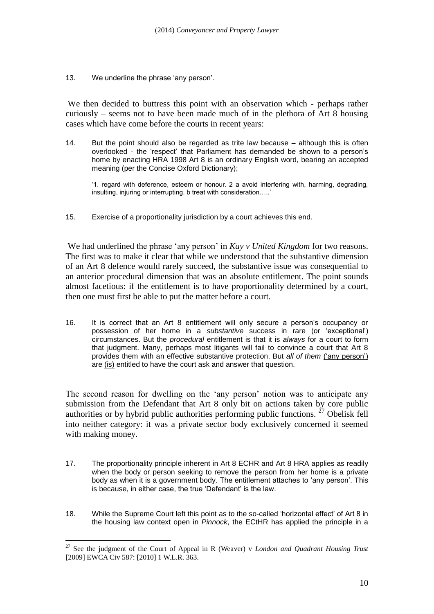13. We underline the phrase 'any person'.

We then decided to buttress this point with an observation which - perhaps rather curiously – seems not to have been made much of in the plethora of Art 8 housing cases which have come before the courts in recent years:

14. But the point should also be regarded as trite law because – although this is often overlooked - the 'respect' that Parliament has demanded be shown to a person's home by enacting HRA 1998 Art 8 is an ordinary English word, bearing an accepted meaning (per the Concise Oxford Dictionary);

'1. regard with deference, esteem or honour. 2 a avoid interfering with, harming, degrading, insulting, injuring or interrupting. b treat with consideration…..'

15. Exercise of a proportionality jurisdiction by a court achieves this end.

We had underlined the phrase 'any person' in *Kay v United Kingdom* for two reasons. The first was to make it clear that while we understood that the substantive dimension of an Art 8 defence would rarely succeed, the substantive issue was consequential to an anterior procedural dimension that was an absolute entitlement. The point sounds almost facetious: if the entitlement is to have proportionality determined by a court, then one must first be able to put the matter before a court.

16. It is correct that an Art 8 entitlement will only secure a person's occupancy or possession of her home in a *substantive* success in rare (or 'exceptional') circumstances. But the *procedural* entitlement is that it is *always* for a court to form that judgment. Many, perhaps most litigants will fail to convince a court that Art 8 provides them with an effective substantive protection. But *all of them* ('any person') are (is) entitled to have the court ask and answer that question.

The second reason for dwelling on the 'any person' notion was to anticipate any submission from the Defendant that Art 8 only bit on actions taken by core public authorities or by hybrid public authorities performing public functions.  $^{27}$  Obelisk fell into neither category: it was a private sector body exclusively concerned it seemed with making money.

- 17. The proportionality principle inherent in Art 8 ECHR and Art 8 HRA applies as readily when the body or person seeking to remove the person from her home is a private body as when it is a government body. The entitlement attaches to 'any person'. This is because, in either case, the true 'Defendant' is the law.
- 18. While the Supreme Court left this point as to the so-called 'horizontal effect' of Art 8 in the housing law context open in *Pinnock*, the ECtHR has applied the principle in a

<sup>&</sup>lt;sup>27</sup> See the judgment of the Court of Appeal in R (Weaver) v *London and Quadrant Housing Trust* [2009] EWCA Civ 587: [2010] 1 W.L.R. 363.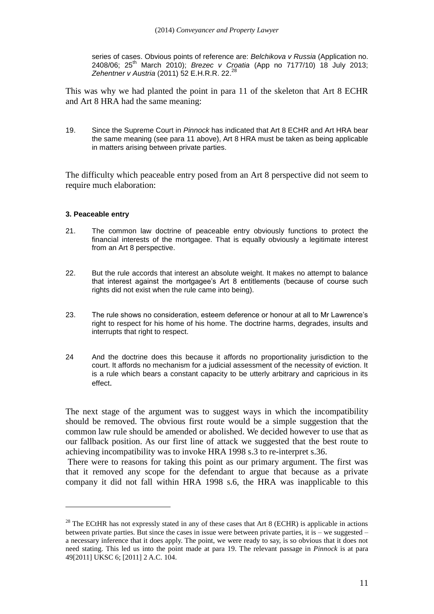series of cases. Obvious points of reference are: *Belchikova v Russia* (Application no. 2408/06; 25th March 2010); *Brezec v Croatia* (App no 7177/10) 18 July 2013; *Zehentner v Austria* (2011) 52 E.H.R.R. 22. 28

This was why we had planted the point in para 11 of the skeleton that Art 8 ECHR and Art 8 HRA had the same meaning:

19. Since the Supreme Court in *Pinnock* has indicated that Art 8 ECHR and Art HRA bear the same meaning (see para 11 above), Art 8 HRA must be taken as being applicable in matters arising between private parties.

The difficulty which peaceable entry posed from an Art 8 perspective did not seem to require much elaboration:

#### **3. Peaceable entry**

1

- 21. The common law doctrine of peaceable entry obviously functions to protect the financial interests of the mortgagee. That is equally obviously a legitimate interest from an Art 8 perspective.
- 22. But the rule accords that interest an absolute weight. It makes no attempt to balance that interest against the mortgagee's Art 8 entitlements (because of course such rights did not exist when the rule came into being).
- 23. The rule shows no consideration, esteem deference or honour at all to Mr Lawrence's right to respect for his home of his home. The doctrine harms, degrades, insults and interrupts that right to respect.
- 24 And the doctrine does this because it affords no proportionality jurisdiction to the court. It affords no mechanism for a judicial assessment of the necessity of eviction. It is a rule which bears a constant capacity to be utterly arbitrary and capricious in its effect.

The next stage of the argument was to suggest ways in which the incompatibility should be removed. The obvious first route would be a simple suggestion that the common law rule should be amended or abolished. We decided however to use that as our fallback position. As our first line of attack we suggested that the best route to achieving incompatibility was to invoke HRA 1998 s.3 to re-interpret s.36.

There were to reasons for taking this point as our primary argument. The first was that it removed any scope for the defendant to argue that because as a private company it did not fall within HRA 1998 s.6, the HRA was inapplicable to this

<sup>&</sup>lt;sup>28</sup> The ECtHR has not expressly stated in any of these cases that Art 8 (ECHR) is applicable in actions between private parties. But since the cases in issue were between private parties, it is  $-$  we suggested  $$ a necessary inference that it does apply. The point, we were ready to say, is so obvious that it does not need stating. This led us into the point made at para 19. The relevant passage in *Pinnock* is at para 49[2011] UKSC 6; [2011] 2 A.C. 104.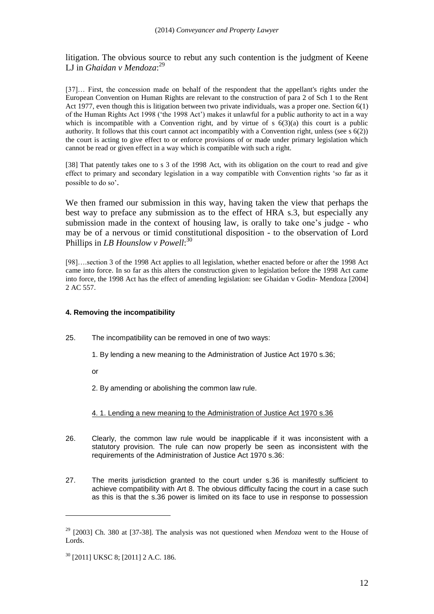litigation. The obvious source to rebut any such contention is the judgment of Keene LJ in *Ghaidan v Mendoza*: 29

[37]… First, the concession made on behalf of the respondent that the appellant's rights under the European Convention on Human Rights are relevant to the construction of para 2 of Sch 1 to the Rent Act 1977, even though this is litigation between two private individuals, was a proper one. Section 6(1) of the Human Rights Act 1998 ('the 1998 Act') makes it unlawful for a public authority to act in a way which is incompatible with a Convention right, and by virtue of  $s$  6(3)(a) this court is a public authority. It follows that this court cannot act incompatibly with a Convention right, unless (see s  $6(2)$ ) the court is acting to give effect to or enforce provisions of or made under primary legislation which cannot be read or given effect in a way which is compatible with such a right.

[38] That patently takes one to s 3 of the 1998 Act, with its obligation on the court to read and give effect to primary and secondary legislation in a way compatible with Convention rights 'so far as it possible to do so'.

We then framed our submission in this way, having taken the view that perhaps the best way to preface any submission as to the effect of HRA s.3, but especially any submission made in the context of housing law, is orally to take one's judge - who may be of a nervous or timid constitutional disposition - to the observation of Lord Phillips in *LB Hounslow v Powell*: 30

[98]….section 3 of the 1998 Act applies to all legislation, whether enacted before or after the 1998 Act came into force. In so far as this alters the construction given to legislation before the 1998 Act came into force, the 1998 Act has the effect of amending legislation: see Ghaidan v Godin- Mendoza [2004] 2 AC 557.

#### **4. Removing the incompatibility**

- 25. The incompatibility can be removed in one of two ways:
	- 1. By lending a new meaning to the Administration of Justice Act 1970 s.36;

or

<u>.</u>

2. By amending or abolishing the common law rule.

#### 4. 1. Lending a new meaning to the Administration of Justice Act 1970 s.36

- 26. Clearly, the common law rule would be inapplicable if it was inconsistent with a statutory provision. The rule can now properly be seen as inconsistent with the requirements of the Administration of Justice Act 1970 s.36:
- 27. The merits jurisdiction granted to the court under s.36 is manifestly sufficient to achieve compatibility with Art 8. The obvious difficulty facing the court in a case such as this is that the s.36 power is limited on its face to use in response to possession

<sup>29</sup> [2003] Ch. 380 at [37-38]. The analysis was not questioned when *Mendoza* went to the House of Lords.

<sup>30</sup> [2011] UKSC 8; [2011] 2 A.C. 186.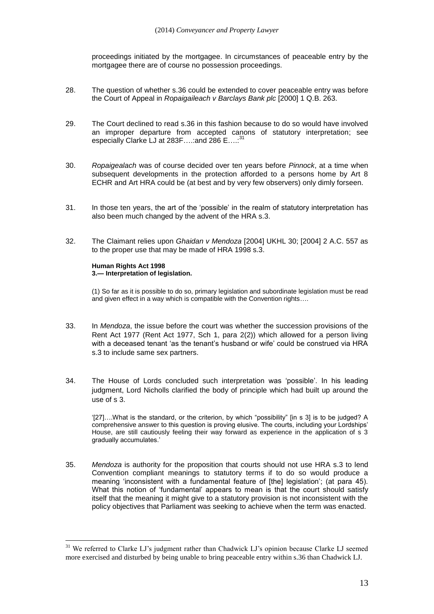proceedings initiated by the mortgagee. In circumstances of peaceable entry by the mortgagee there are of course no possession proceedings.

- 28. The question of whether s.36 could be extended to cover peaceable entry was before the Court of Appeal in *Ropaigaileach v Barclays Bank plc* [2000] 1 Q.B. 263.
- 29. The Court declined to read s.36 in this fashion because to do so would have involved an improper departure from accepted canons of statutory interpretation; see especially Clarke LJ at 283F....: and 286 E....:<sup>31</sup>
- 30. *Ropaigealach* was of course decided over ten years before *Pinnock*, at a time when subsequent developments in the protection afforded to a persons home by Art 8 ECHR and Art HRA could be (at best and by very few observers) only dimly forseen.
- 31. In those ten years, the art of the 'possible' in the realm of statutory interpretation has also been much changed by the advent of the HRA s.3.
- 32. The Claimant relies upon *Ghaidan v Mendoza* [2004] UKHL 30; [2004] 2 A.C. 557 as to the proper use that may be made of HRA 1998 s.3.

#### **Human Rights Act 1998 3.— Interpretation of legislation.**

1

(1) So far as it is possible to do so, primary legislation and subordinate legislation must be read and given effect in a way which is compatible with the Convention rights….

- 33. In *Mendoza*, the issue before the court was whether the succession provisions of the Rent Act 1977 (Rent Act 1977, Sch 1, para 2(2)) which allowed for a person living with a deceased tenant 'as the tenant's husband or wife' could be construed via HRA s.3 to include same sex partners.
- 34. The House of Lords concluded such interpretation was 'possible'. In his leading judgment, Lord Nicholls clarified the body of principle which had built up around the use of s 3.

'[27]….What is the standard, or the criterion, by which "possibility" [in s 3] is to be judged? A comprehensive answer to this question is proving elusive. The courts, including your Lordships' House, are still cautiously feeling their way forward as experience in the application of s 3 gradually accumulates.'

35. *Mendoza* is authority for the proposition that courts should not use HRA s.3 to lend Convention compliant meanings to statutory terms if to do so would produce a meaning 'inconsistent with a fundamental feature of [the] legislation'; (at para 45). What this notion of 'fundamental' appears to mean is that the court should satisfy itself that the meaning it might give to a statutory provision is not inconsistent with the policy objectives that Parliament was seeking to achieve when the term was enacted.

<sup>&</sup>lt;sup>31</sup> We referred to Clarke LJ's judgment rather than Chadwick LJ's opinion because Clarke LJ seemed more exercised and disturbed by being unable to bring peaceable entry within s.36 than Chadwick LJ.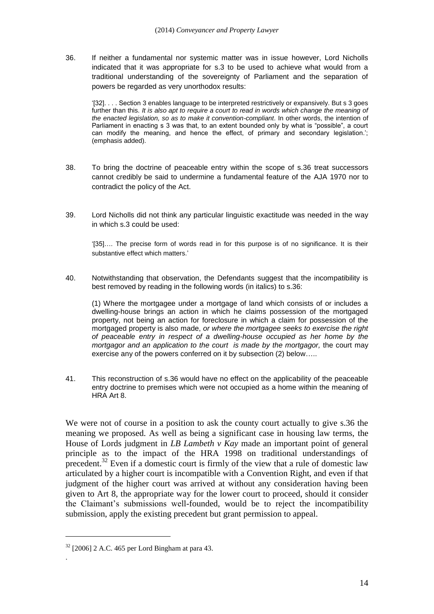36. If neither a fundamental nor systemic matter was in issue however, Lord Nicholls indicated that it was appropriate for s.3 to be used to achieve what would from a traditional understanding of the sovereignty of Parliament and the separation of powers be regarded as very unorthodox results:

'[32]. . . . Section 3 enables language to be interpreted restrictively or expansively. But s 3 goes further than this. *It is also apt to require a court to read in words which change the meaning of the enacted legislation, so as to make it convention-compliant*. In other words, the intention of Parliament in enacting s 3 was that, to an extent bounded only by what is "possible", a court can modify the meaning, and hence the effect, of primary and secondary legislation.'; (emphasis added).

- 38. To bring the doctrine of peaceable entry within the scope of s.36 treat successors cannot credibly be said to undermine a fundamental feature of the AJA 1970 nor to contradict the policy of the Act.
- 39. Lord Nicholls did not think any particular linguistic exactitude was needed in the way in which s.3 could be used:

'[35]…. The precise form of words read in for this purpose is of no significance. It is their substantive effect which matters.'

40. Notwithstanding that observation, the Defendants suggest that the incompatibility is best removed by reading in the following words (in italics) to s.36:

(1) Where the mortgagee under a mortgage of land which consists of or includes a dwelling-house brings an action in which he claims possession of the mortgaged property, not being an action for foreclosure in which a claim for possession of the mortgaged property is also made, *or where the mortgagee seeks to exercise the right of peaceable entry in respect of a dwelling-house occupied as her home by the mortgagor and an application to the court is made by the mortgagor,* the court may exercise any of the powers conferred on it by subsection (2) below…..

41. This reconstruction of s.36 would have no effect on the applicability of the peaceable entry doctrine to premises which were not occupied as a home within the meaning of HRA Art 8.

We were not of course in a position to ask the county court actually to give s.36 the meaning we proposed. As well as being a significant case in housing law terms, the House of Lords judgment in *LB Lambeth v Kay* made an important point of general principle as to the impact of the HRA 1998 on traditional understandings of precedent.<sup>32</sup> Even if a domestic court is firmly of the view that a rule of domestic law articulated by a higher court is incompatible with a Convention Right, and even if that judgment of the higher court was arrived at without any consideration having been given to Art 8, the appropriate way for the lower court to proceed, should it consider the Claimant's submissions well-founded, would be to reject the incompatibility submission, apply the existing precedent but grant permission to appeal.

1

.

 $32$  [2006] 2 A.C. 465 per Lord Bingham at para 43.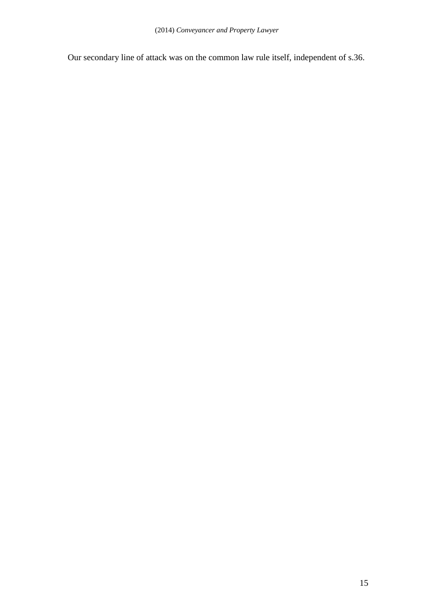Our secondary line of attack was on the common law rule itself, independent of s.36.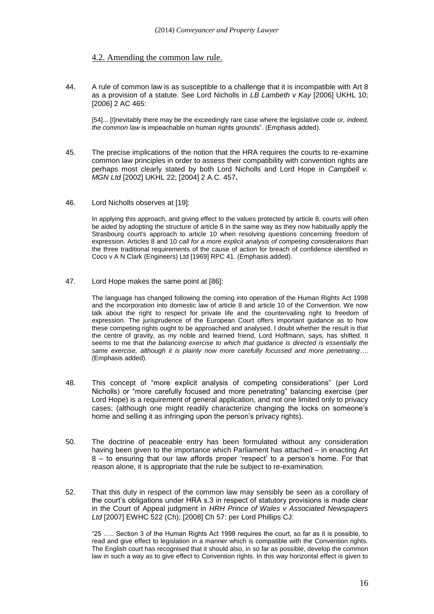#### 4.2. Amending the common law rule.

44. A rule of common law is as susceptible to a challenge that it is incompatible with Art 8 as a provision of a statute. See Lord Nicholls in *LB Lambeth v Kay* [2006] UKHL 10; [2006] 2 AC 465:

[54]... [I]nevitably there may be the exceedingly rare case where the legislative code *or, indeed, the common law* is impeachable on human rights grounds". (Emphasis added).

- 45. The precise implications of the notion that the HRA requires the courts to re-examine common law principles in order to assess their compatibility with convention rights are perhaps most clearly stated by both Lord Nicholls and Lord Hope in *Campbell v. MGN Ltd* [2002] UKHL 22; [2004] 2 A.C. 457**.**
- 46. Lord Nicholls observes at [19]:

In applying this approach, and giving effect to the values protected by article 8, courts will often be aided by adopting the structure of article 8 in the same way as they now habitually apply the Strasbourg court's approach to article 10 when resolving questions concerning freedom of expression. Articles 8 and 10 *call for a more explicit analysis of competing considerations t*han the three traditional requirements of the cause of action for breach of confidence identified in Coco v A N Clark (Engineers) Ltd [1969] RPC 41. (Emphasis added).

47. Lord Hope makes the same point at [86]:

The language has changed following the coming into operation of the Human Rights Act 1998 and the incorporation into domestic law of article 8 and article 10 of the Convention. We now talk about the right to respect for private life and the countervailing right to freedom of expression. The jurisprudence of the European Court offers important guidance as to how these competing rights ought to be approached and analysed. I doubt whether the result is that the centre of gravity, as my noble and learned friend, Lord Hoffmann, says, has shifted. It seems to me that *the balancing exercise to which that guidance is directed is essentially the same exercise, although it is plainly now more carefully focussed and more penetrating*…. (Emphasis added).

- 48. This concept of "more explicit analysis of competing considerations" (per Lord Nicholls) or "more carefully focused and more penetrating" balancing exercise (per Lord Hope) is a requirement of general application, and not one limited only to privacy cases; (although one might readily characterize changing the locks on someone's home and selling it as infringing upon the person's privacy rights).
- 50. The doctrine of peaceable entry has been formulated without any consideration having been given to the importance which Parliament has attached – in enacting Art 8 – to ensuring that our law affords proper 'respect' to a person's home. For that reason alone, it is appropriate that the rule be subject to re-examination.
- 52. That this duty in respect of the common law may sensibly be seen as a corollary of the court's obligations under HRA s.3 in respect of statutory provisions is made clear in the Court of Appeal judgment in *HRH Prince of Wales v Associated Newspapers Ltd* [2007] EWHC 522 (Ch); [2008] Ch 57: per Lord Phillips CJ:

"25 ….. Section 3 of the Human Rights Act 1998 requires the court, so far as it is possible, to read and give effect to legislation in a manner which is compatible with the Convention rights. The English court has recognised that it should also, in so far as possible, develop the common law in such a way as to give effect to Convention rights. In this way horizontal effect is given to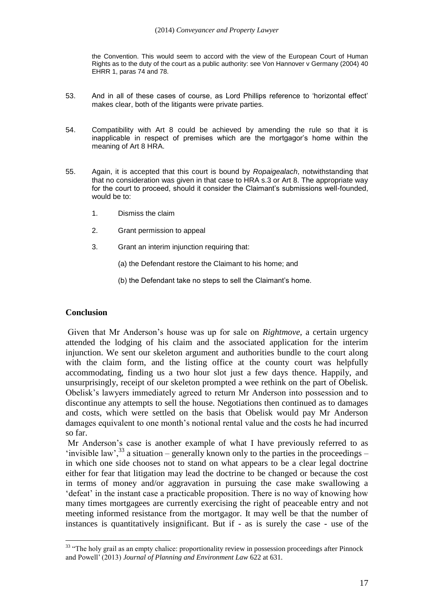the Convention. This would seem to accord with the view of the European Court of Human Rights as to the duty of the court as a public authority: see Von Hannover v Germany (2004) 40 EHRR 1, paras 74 and 78.

- 53. And in all of these cases of course, as Lord Phillips reference to 'horizontal effect' makes clear, both of the litigants were private parties.
- 54. Compatibility with Art 8 could be achieved by amending the rule so that it is inapplicable in respect of premises which are the mortgagor's home within the meaning of Art 8 HRA.
- 55. Again, it is accepted that this court is bound by *Ropaigealach*, notwithstanding that that no consideration was given in that case to HRA s.3 or Art 8. The appropriate way for the court to proceed, should it consider the Claimant's submissions well-founded, would be to:
	- 1. Dismiss the claim
	- 2. Grant permission to appeal
	- 3. Grant an interim injunction requiring that:
		- (a) the Defendant restore the Claimant to his home; and
		- (b) the Defendant take no steps to sell the Claimant's home.

#### **Conclusion**

Given that Mr Anderson's house was up for sale on *Rightmove,* a certain urgency attended the lodging of his claim and the associated application for the interim injunction. We sent our skeleton argument and authorities bundle to the court along with the claim form, and the listing office at the county court was helpfully accommodating, finding us a two hour slot just a few days thence. Happily, and unsurprisingly, receipt of our skeleton prompted a wee rethink on the part of Obelisk. Obelisk's lawyers immediately agreed to return Mr Anderson into possession and to discontinue any attempts to sell the house. Negotiations then continued as to damages and costs, which were settled on the basis that Obelisk would pay Mr Anderson damages equivalent to one month's notional rental value and the costs he had incurred so far.

Mr Anderson's case is another example of what I have previously referred to as 'invisible law',  $^{33}$  a situation – generally known only to the parties in the proceedings – in which one side chooses not to stand on what appears to be a clear legal doctrine either for fear that litigation may lead the doctrine to be changed or because the cost in terms of money and/or aggravation in pursuing the case make swallowing a 'defeat' in the instant case a practicable proposition. There is no way of knowing how many times mortgagees are currently exercising the right of peaceable entry and not meeting informed resistance from the mortgagor. It may well be that the number of instances is quantitatively insignificant. But if - as is surely the case - use of the

<sup>1</sup> <sup>33</sup> "The holy grail as an empty chalice: proportionality review in possession proceedings after Pinnock and Powell' (2013) *Journal of Planning and Environment Law* 622 at 631.